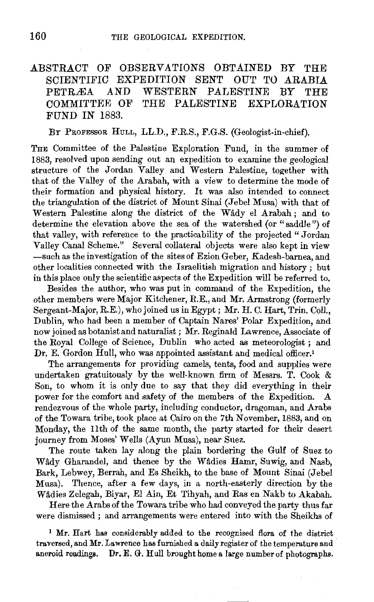## .ABSTRACT OF OBSERVATIONS OBTAINED BY THE SCIENTIFIC EXPEDITION SENT OUT TO ARABIA PETRÆA AND WESTERN PALESTINE BY THE COMMITTEE OF THE PALESTINE EXPLORATION FUND IN 1883.

BY PROFESSOR HuLL, LL.D., F.R.S., F.G.S. (Geologist-in-chief).

THE Committee of the Palestine Exploration Fund, in the summer of 1883, resolved upon sending out an expedition to examine the geological structure of the Jordan *V* alley and Western Palestine, together with that of the Valley of the Arabah, with a view to determine the mode of their formation and physical history. It was also intended to connect the triangulation of the district of Mount Sinai (Jebel Musa) with that of Western Palestine along the district of the Wady el Arabah ; and to determine the elevation above the sea of the watershed (or "saddle") of that valley, with reference to the practicability of the projected " Jordan Valley Canal Scheme." Several collateral objects were also kept in view -such as the investigation of the sites of Ezion Geber, Kadesh-barnea, and other localities connected with the Israelitish migration and history ; but in this place only the scientific aspects of the Expedition will be referred to.

Besides the author, who was put in command of the Expedition, the other members were Major Kitchener, R.E., and Mr. Armstrong (formerly Sergeant-Major, R.E.), who joined us in Egypt; Mr. H. C. Hart, Trin. Coli., Dublin, who had been a member of Captain Nares' Polar Expedition, and now joined as botanist and naturalist ; Mr. Reginald Lawrence, Associate of the Royal College of Science, Dublin who acted as meteorologist; and Dr. E. Gordon Hull, who was appointed assistant and medical officer.<sup>1</sup>

The arrangements for providing camels, tents, food and supplies were undertaken gratuitously by the well-known firm of Messrs. T. Cook & Son, to whom it is only due to say that they did everything in their power for the comfort and safety of the members of the Expedition. A rendezvous of the whole party, including conductor, dragoman, and Arabs of the Towara tribe, took place at Cairo on the 7th November, 1883, and on Monday, the 11th of the same month, the party started for their desert journey from Moses' Wells (Ayun Musa), near Suez.

The route taken lay along the plain bordering the Gulf of Suez to Wady Gharandel, and thence by the Wadies Hamr, Suwig, and Nasb, Bark, Lebwey, Berrah, and Es Sheikh, to the base of Mount Sinai (Jebel Musa). Thence, after a few days, in a north-easterly direction by the Wadies Zelegah, Biyar, El Ain, Et Tihyah, and Ras en Nakb to Akabah.

Here the Arabs of the Towara tribe who had conveyed the party thus far were dismissed ; and arrangements were entered into with the Sheikhs of

<sup>1</sup> Mr. Hart has considerably added to the recognised flora of the district traversed, and Mr; Lawrence has furnished a daily register of the temperature and aneroid readings. Dr. E. G. Hull brought home a large number of photographs.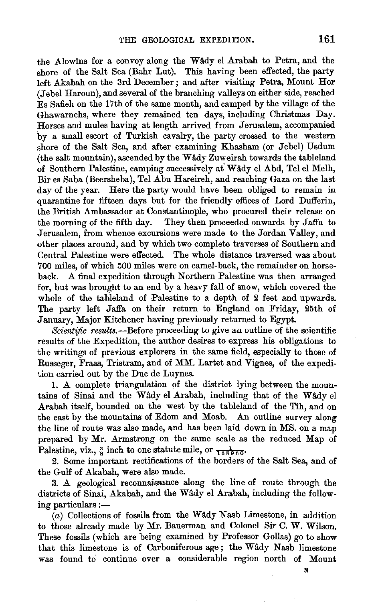the Alowins for a convoy along the Wady el Arabah to Petra, and the shore of the Salt Sea (Bahr Lut). This having been effected, the party left Akabah on the 3rd December ; and after visiting Petra, Mount Hor (Jebel Haroun), and several of the branching valleys on either side, reached Es Safieh on the 17th of the same month, and camped by the village of the Ghawarnehs, where they remained ten days, including Christmas Day. Horses and mules having at length arrived from Jerusalem, accompanied by a small escort of Turkish cavalry, the party crossed to the western shore of the Salt Sea, and after examining Khasham (or Jebel) Usdum  $(the salt mountain)$ , ascended by the Wady Zuweirah towards the tableland of Southern Palestine, camping successively at Wady el Abd, Tel el Melh, Bir es Saba (Beersheba), Tel Abu Hareireh, and reaching Gaza on the last day of the year. Here the party would have been obliged to remain in quarantine for fifteen days but for the friendly offices of Lord Dufferin, the British Ambassador at Constantinople, who procured their release on the morning of the fifth day. They then proceeded onwards by Jaffa to Jerusalem, from whence excursions were made to the Jordan Valley, and other places around, and by which two complete traverses of Southern and Central Palestine were effected. The whole distance traversed was about 700 miles, of which 500 miles were on camel-back, the remainder on horseback. A final expedition through Northern Palestine was then arranged for, but was brought to an end by a heavy fall of snow, which covered the whole of the tableland of Palestine to a depth of 2 feet and upwards. The party left Jaffa on their return to England on Friday, 25th of January, Major Kitchener having previously returned to Egypt.

*Scientific results.*—Before proceeding to give an outline of the scientific results of the Expedition, the author desires to express his obligations to the writings of previous explorers in the same field, especially to those of Russeger, Fraas, Tristram, and of MM. Lartet and Vignes, of the expedition carried out by the Due de Luynes.

1. A complete triangulation of the district lying between the mountains of Sinai and the Wâdy el Arabah, including that of the Wâdy el Arabah itself, bounded on the west by the tableland of the Tth, and on the east by the mountains of Edom and Moab. An outline survey along the line of route was also made, and has been laid down in MS. on a map prepared by Mr. Armstrong on the same scale as the reduced Map of Palestine, viz.,  $\frac{3}{8}$  inch to one statute mile, or  $\frac{1}{168960}$ .

2. Some important rectifications of the borders of the Salt Sea, and of the Gulf of Akabah, were also made.

3. A geological reconnaissance along the line of route through the districts of Sinai, Akabah, and the Wâdy el Arabah, including the following particulars: $-$ 

 $(a)$  Collections of fossils from the Wady Nasb Limestone, in addition to those already made by Mr. Bauerman and Colonel Sir C. W. Wilson. These fossils (which are being examined by Professor Gollas) go to show that this limestone is of Carboniferous age; the Wâdy Nasb limestone was found to continue over a considerable region north of Mount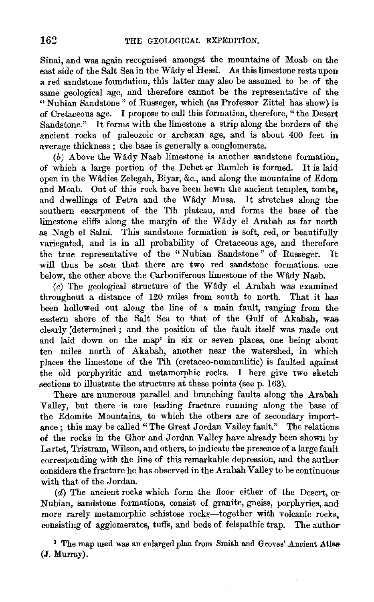Sinai, and was again recognised amongst the mountains of Moab on the east side of the Salt Sea in the Wâdy el Hessi. As this limestone rests upon a red sandstone foundation, this latter may also be assumed to be of the same geological age, and therefore cannot be the representative of the "Nubian Sandstone'' of Russeger, which (as Professor Zittel has show) is of Cretaceous age. I propose to call this formation, therefore, "the Desert Sandstone." It forms with the limestone a strip along the borders of the ancient rocks of paleozoic or archean age, and is about 400 feet in average thickness ; the base is generally a conglomerate.

 $(b)$  Above the Wady Nasb limestone is another sandstone formation. of which a large portion of the Debet er Ramleh is formed. It is laid open in the Wâdies Zelegah, Biyar, &c., and along the mountains of Edom and Moab. Out of this rock have been hewn the ancient temples, tombs, and dwellings of Petra and the Wâdy Musa. It stretches along the southern escarpment of the Tih plateau, and forms the base of the limestone cliffs along the margin of the Wâdy el Arabah as far north as Nagb el Salni. This sandstone formation is soft, red, or beautifully variegated, and is in all probability of Cretaceous age, and therefore the true representative of the "Nubian Sandstone" of Russeger. It will thus be seen that there are two red sandstone formations. one below, the other above the Carboniferous limestone of the Wady Nasb.

 $(c)$  The geological structure of the Wâdy el Arabah was examined throughout a distance of 120 miles from south to north. That it has been hollowed out along the line of a main fault, ranging from the eastern shore of the Salt Sea to that of the Gulf of Akabah, was clearly ;determined ; and the position of the fault itself was made out and laid down on the map' in six or seven places, one being about ten miles north of Akabah, another near the watershed, in which places the limestone of the Tih (cretaceo-nummulitic) is faulted against the old porphyritic and metamorphic rocks. I here give two sketch sections to illustrate the structure at these points (see p. 163).

There are numerous parallel and branching faults along the Arabah Valley, but there is one leading fracture running along the base of the Edomite Mountains, to which the others are of secondary importance ; this may be called "The Great Jordan Valley fault." The relations of the rocks in the Ghor and Jordan Valley have already been shown by Lartet, Tristram, Wilson, and others, to indicate the presence of a large fault corresponding with the line of this remarkable depression, and the author considers the fracture he has observed in the Arabah Valley to be continuouswith that of the Jordan.

 $(d)$  The ancient rocks which form the floor either of the Degert, or Nubian, sandstone formations, consist of granite, gneiss, porphyries, and more rarely metamorphic schistose rocks-together with volcanic rocks, consisting of agglomerates, tuffs, and beds of felspathic trap. The author-

<sup>1</sup> The map used was an enlarged plan from Smith and Groves' Ancient Atlas-(J. Murray).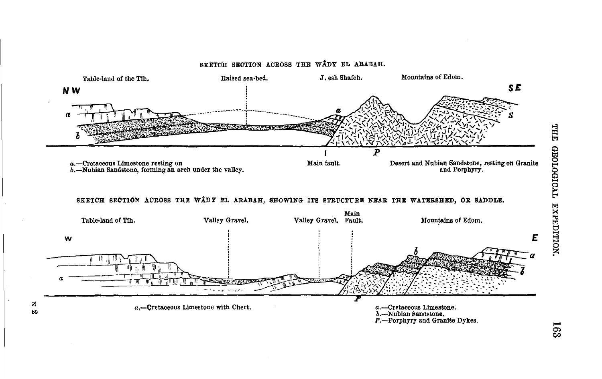

 $\mathbf{z}$  $\boldsymbol{\kappa}$  THE TV0IDOTOHD EXPEDITION.

 $163$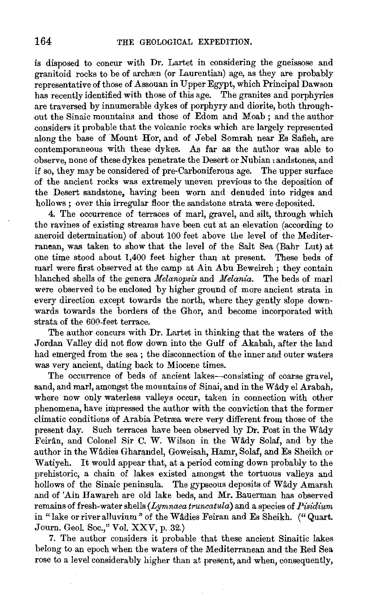is disposed to concur with Dr. Lartet in considering the gneissose and granitoid rocks to be of archaen (or Laurentian) age, as they are probably representative of those of Assouan in Upper Egypt, which Principal Dawson has recently identified with those of this age. The granites and porphyries are traversed by innumerable dykes of porphyry and diorite, both throughout the Sinaic mountains and those of Edom and Moab ; and the author considers it probable that the volcanic rocks which are largely represented along the base of Mount Hor, and of Jebel Somrah near Es Safieh, are contemporaneous with these dykes. As far as the author was able to ·observe, none of these dykes penetrate the Desert or Nubian landstones, and if so, they may be considered of pre-Carboniferous age. The upper surface of the ancient rocks was extremely tmeven previous to the deposition of the Desert sandstone, having been worn and denuded into ridges and hollows ; over this irregular floor the sandstone strata were deposited.

4. The occurrence of terraces of marl, gravel, and silt, through which the ravines of existing streams have been cut at an elevation (according to aneroid determination) of about 100 feet above the level of the Mediterranean, was taken to show that the level of the Salt Sea (Bahr Lut) at one time stood about 1,400 feet higher than at present. These beds of marl were first observed at the camp at Ain Abu Beweireh; they contain blanched shells of the genera *Melanopsis* and *Melania*. The beds of marl were observed to be enclosed by higher ground of more ancient strata in every direction except towards the north, where they gently slope downwards towards the borders of the Ghor, and become incorporated with strata of the 600-feet terrace.

The author concurs with Dr. Lartet in thinking that the waters of the Jordan Valley did not flow down into the Gulf of Akabah, after the land had emerged from the sea ; the disconnection of the inner and outer waters was very ancient, dating back to Miocene times.

The occurrence of beds of ancient lakes-consisting of coarse gravel, sand, and marl, amongst the mountains of Sinai, and in the Wâdy el Arabah, where now only waterless valleys occur, taken in connection with other phenomena, have impressed the author with the conviction that the former climatic conditions of Arabia Petrrea were very different from those of the present day. Such terraces have been observed by Dr. Post in the Wâdy Feirân, and Colonel Sir C. W. Wilson in the Wâdy Solaf, and by the author in the Wâdies Gharandel, Goweisah, Hamr, Solaf, and Es Sheikh or Watiyeh. It would appear that, at a period coming down probably to the prehistoric, a chain of lakes existed amongst the tortuous valleys and hollows of the Sinaic peninsula. The gypseous deposits of Wâdy Amarah and of 'Ain Hawareh are old lake beds, and Mr. Bauerman has observed remains of fresh-water shells *(Lymnaea truncatula)* and a species of *Pisidium*  in "lake or river alluvium" of the Wadies Feiran and Es Sheikh. ("Quart. Journ. Geol. Soc.," Vol. XXV, p. 32.)

7. The author considers it probable that these ancient Sinaitic lakes belong to an epoch when the waters of the Mediterranean and the Red Sea rose to a level considerably higher than at present, and when, consequently,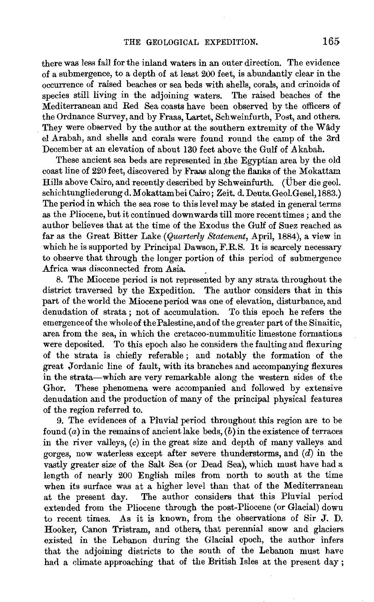there was less fall for the inland waters in an outer direction. The evidence of a submergence, to a depth of at least 200 feet, is abundantly clear in the occurrence of raised beaches or sea beds with shells, corals, and crinoids of species still living in the adjoining waters. The raised beaches of the Mediterranean and Red Sea coasts have been observed by the officers of the Ordnance Survey, and by Fraas, Lartet, Schweinfurth, Post, and others. They were observed by the author at the southern extremity of the Wady el Arabah, and shells and corals were found round the camp of the 3rd December at an elevation of about 130 feet above the Gulf of Akabah.

These ancient sea beds are represented in the Egyptian area by the old coast line of 220 feet, discovered by Fraas along the flanks of the Mokattam Hills above Cairo, and recently described by Schweinfurth. (Uber die geol. schichtungliederung d. M okattam bei Cairo; Zeit. d. Dents. Geol. Gesel, 1883.) The period in which the sea rose to this level may be stated in general terms as the Pliocene, but it continued downwards till more recent times ; and the author believes that at the time of the Exodus the Gulf of Suez reached as far as the Great Bitter Lake *(Quarterly Statement,* April, 1884), a view in which he is supported by Principal Dawson, F.R.S. It is scarcely necessary to observe that through the longer portion of this period of submergence Africa was disconnected from Asia. .

8. The Miocene period is not represented by any strata throughout the district traversed by the Expedition. The author considers that in this part of the world the Miocene period was one of elevation, disturbance, and denudation of strata ; not of accumulation. To this epoch he refers the emergence of the whole of the Palestine, and of the greater part of the Sinaitic, area from the sea, in which the cretaceo-nummulitic limestone formations were deposited. To this epoch also he considers the faulting and flexuring of the strata is chiefly referable ; and notably the formation of the great Jordanic line of fault, with its branches and accompanying flexures in the strata-which are very remarkable along the western sides of the Ghor. These phenomena were accompanied and followed by extensive denudation and the production of many of the principal physical features of the region referred to.

9. The evidences of a Pluvial period throughout this region are to be found  $(a)$  in the remains of ancient lake beds,  $(b)$  in the existence of terraces in the river valleys,  $(c)$  in the great size and depth of many valleys and gorges, now waterless except after severe thunderstorms, and  $(d)$  in the vastly greater size of the Salt Sea (or Dead Sea), which must have had a length of nearly 200 English miles from north to south at the time when its surface was at a higher level than that of the Mediterranean at the present day. The author considers that this Pluvial period extended from the Pliocene through the post-Pliocene (or Glacial) down to recent times. As it is known, from the observations of Sir J. D. Hooker, Canon Tristram, and others, that perennial snow and glaciers existed in the Lebanon during the Glacial epoch, the author infers that the adjoining districts to the south of the Lebanon must have had a climate approaching that of the British Isles at the present day;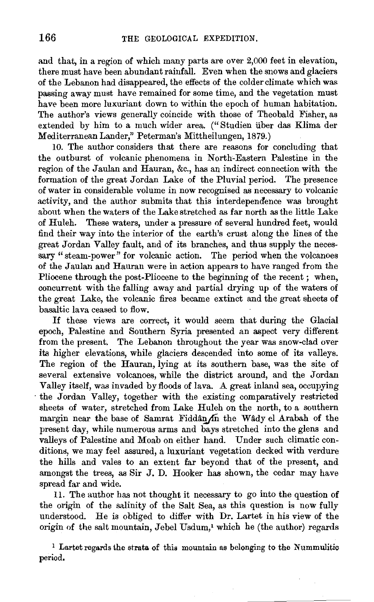and that, in a region of which many parts are over 2,000 feet in elevation, there must have been abundant rainfall. Even when the snows and glaciers of the Lebanon had disappeared, the effects of the colder climate which was passing away must have remained for some time, and the vegetation must have been more luxuriant down to within the epoch of human habitation. The author's views generally coincide with those of Theobald Fisher, as extended by him to a much wider area. (" Studien iiber das Klima der MediterraneanLander," Peterman's Mittheilungen, 1879.)

10. The author considers that there are reasons for concluding that the outburst of volcanic phenomena in North-Eastern Palestine in the region of the Jaulan and Hauran, &c., has an indirect connection with the formation of the great Jordan Lake of the Pluvial period. The presence of water in considerable volume in now recognised as necessary to volcanic activity, and the author submits that this interdependence was brought about when the waters of the Lake stretched as far north as the little Lake of Huleh. These waters, under a pressure of several hundred feet, would find their way into the interior of the earth's crust along the lines of the great Jordan Valley fault, and of its branches, and thus supply the necessary "steam-power" for volcanic action. The period when the volcanoes of the Jaulan and Hauran were in action appears to have ranged from the Pliocene through the post-Pliocene to the beginning of the recent ; when, concurrent with the falling away and partial drying up of the waters of the great Lake, the volcanic fires became extinct and the great sheets of basaltic lava ceased to flow.

If these views are correct, it would seem that during the Glacial epoch, Palestine and Southern Syria presented an aspect very different from the present. The Lebanon throughout the year was snow-clad over its higher elevations, while glaciers descended into some of its valleys. The region of the Hauran, lying at its southern base, was the site of several extensive volcanoes, while the district around, and the Jordan Valley itself, was invaded by floods of lava. A great inland sea, occupying ·the Jordan Valley, together with the existing comparatively restricted sheets of water, stretched from Lake Huleh on the north, to a southern margin near the base of Samrat Fiddân  $\Lambda$ n the Wâdy el Arabah of the present day, while numerous arms and bays stretched into the glens and valleys of Palestine and Moab on either hand. Under such climatic conditions, we may feel assured, a luxuriant vegetation decked with verdure the hills and vales to an extent far beyond that of the present, and amongst the trees, as Sir J. D. Hooker has shown, the cedar may have spread far and wide.

11. The author has not thought it necessary to go into the question of the origin of the salinity of the Salt Sea, as this question is now fully understood. He is obliged to differ with Dr. Lartet in his view of the origin of the salt mountain, Jebel Usdum,' which he (the author) regards

 $<sup>1</sup>$  Lartet regards the strata of this mountain as belonging to the Nummulitic</sup> period.